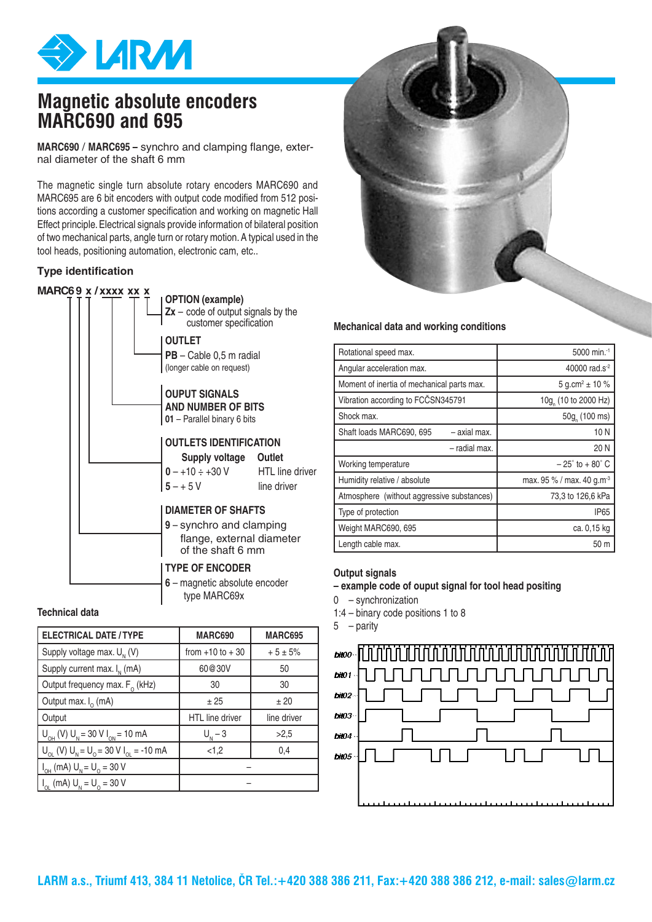

# **Magnetic absolute encoders MARC690 and 695**

**MARC690** / **MARC695 –** synchro and clamping flange, external diameter of the shaft 6 mm

The magnetic single turn absolute rotary encoders MARC690 and MARC695 are 6 bit encoders with output code modified from 512 positions according a customer specification and working on magnetic Hall Effect principle. Electrical signals provide information of bilateral position of two mechanical parts, angle turn or rotary motion. A typical used in the tool heads, positioning automation, electronic cam, etc..

#### **Type identification**



#### **Technical data**

| <b>ELECTRICAL DATE / TYPE</b>                                                                   | <b>MARC690</b>         | <b>MARC695</b> |
|-------------------------------------------------------------------------------------------------|------------------------|----------------|
| Supply voltage max. $U_{N}$ (V)                                                                 | from $+10$ to $+30$    | $+5 \pm 5%$    |
| Supply current max. $I_{N}$ (mA)                                                                | 60@30V                 | 50             |
| Output frequency max. $F_0$ (kHz)                                                               | 30                     | 30             |
| Output max. $I_0$ (mA)                                                                          | ±25                    | ±20            |
| Output                                                                                          | <b>HTL</b> line driver | line driver    |
| $U_{\text{OH}}$ (V) $U_{\text{N}}$ = 30 V $I_{\text{ON}}$ = 10 mA                               | $U_{N} - 3$            | >2,5           |
| $U_{\text{OL}}$ (V) $U_{\text{N}} = U_{\text{O}} = 30 \text{ V} I_{\text{OL}} = -10 \text{ mA}$ | < 1,2                  | 0,4            |
| $I_{OH}$ (mA) $U_{N} = U_{O} = 30 V$                                                            |                        |                |
| $I_{OL}$ (mA) $U_{N} = U_{O} = 30 V$                                                            |                        |                |



#### **Mechanical data and working conditions**

| Rotational speed max.                      | 5000 min. <sup>-1</sup>               |
|--------------------------------------------|---------------------------------------|
| Angular acceleration max.                  | 40000 rad.s <sup>-2</sup>             |
| Moment of inertia of mechanical parts max. | 5 g.cm <sup>2</sup> $\pm$ 10 %        |
| Vibration according to FCČSN345791         | 10g (10 to 2000 Hz)                   |
| Shock max.                                 | 50g <sub>,</sub> (100 ms)             |
| Shaft loads MARC690, 695<br>- axial max.   | 10N                                   |
| - radial max.                              | 20 N                                  |
| Working temperature                        | $-25^\circ$ to $+80^\circ$ C          |
| Humidity relative / absolute               | max. 95 % / max. 40 g.m <sup>-3</sup> |
| Atmosphere (without aggressive substances) | 73,3 to 126,6 kPa                     |
| Type of protection                         | <b>IP65</b>                           |
| Weight MARC690, 695                        | ca. 0,15 kg                           |
| Length cable max.                          | 50 m                                  |

#### **Output signals**

**– example code of ouput signal for tool head positing**

0 – synchronization

1:4 – binary code positions 1 to 8

5 – parity